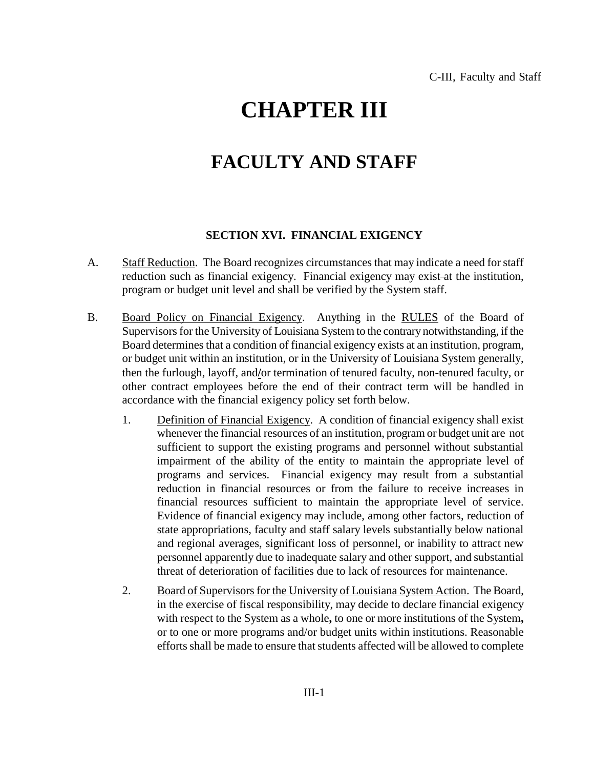## **CHAPTER III**

## **FACULTY AND STAFF**

## **SECTION XVI. FINANCIAL EXIGENCY**

- A. Staff Reduction. The Board recognizes circumstances that may indicate a need for staff reduction such as financial exigency. Financial exigency may exist-at the institution, program or budget unit level and shall be verified by the System staff.
- B. Board Policy on Financial Exigency. Anything in the RULES of the Board of Supervisors for the University of Louisiana System to the contrary notwithstanding, if the Board determines that a condition of financial exigency exists at an institution, program, or budget unit within an institution, or in the University of Louisiana System generally, then the furlough, layoff, and**/**or termination of tenured faculty, non-tenured faculty, or other contract employees before the end of their contract term will be handled in accordance with the financial exigency policy set forth below.
	- 1. Definition of Financial Exigency. A condition of financial exigency shall exist whenever the financial resources of an institution, program or budget unit are not sufficient to support the existing programs and personnel without substantial impairment of the ability of the entity to maintain the appropriate level of programs and services. Financial exigency may result from a substantial reduction in financial resources or from the failure to receive increases in financial resources sufficient to maintain the appropriate level of service. Evidence of financial exigency may include, among other factors, reduction of state appropriations, faculty and staff salary levels substantially below national and regional averages, significant loss of personnel, or inability to attract new personnel apparently due to inadequate salary and other support, and substantial threat of deterioration of facilities due to lack of resources for maintenance.
	- 2. Board of Supervisors for the University of Louisiana System Action. The Board, in the exercise of fiscal responsibility, may decide to declare financial exigency with respect to the System as a whole**,** to one or more institutions of the System**,** or to one or more programs and/or budget units within institutions. Reasonable efforts shall be made to ensure that students affected will be allowed to complete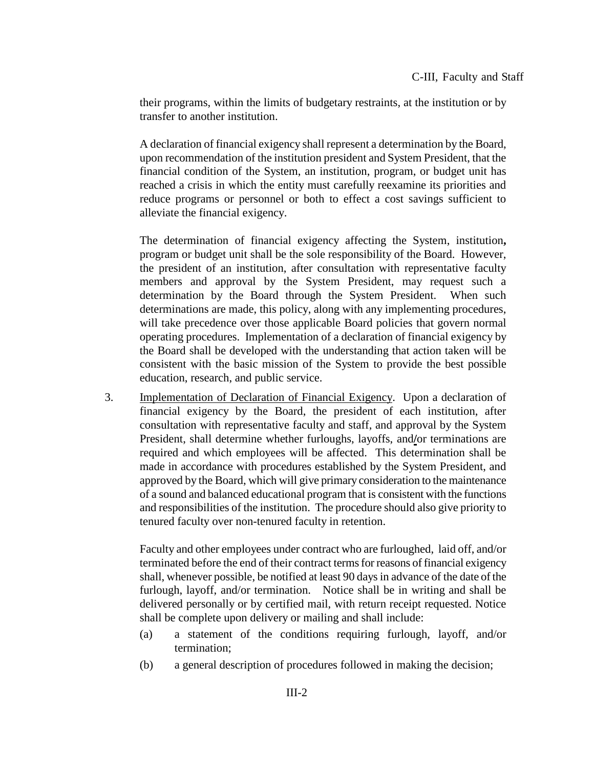their programs, within the limits of budgetary restraints, at the institution or by transfer to another institution.

A declaration of financial exigency shall represent a determination by the Board, upon recommendation of the institution president and System President, that the financial condition of the System, an institution, program, or budget unit has reached a crisis in which the entity must carefully reexamine its priorities and reduce programs or personnel or both to effect a cost savings sufficient to alleviate the financial exigency.

The determination of financial exigency affecting the System, institution**,**  program or budget unit shall be the sole responsibility of the Board. However, the president of an institution, after consultation with representative faculty members and approval by the System President, may request such a determination by the Board through the System President. When such determinations are made, this policy, along with any implementing procedures, will take precedence over those applicable Board policies that govern normal operating procedures. Implementation of a declaration of financial exigency by the Board shall be developed with the understanding that action taken will be consistent with the basic mission of the System to provide the best possible education, research, and public service.

3. Implementation of Declaration of Financial Exigency. Upon a declaration of financial exigency by the Board, the president of each institution, after consultation with representative faculty and staff, and approval by the System President, shall determine whether furloughs, layoffs, and**/**or terminations are required and which employees will be affected. This determination shall be made in accordance with procedures established by the System President, and approved by the Board, which will give primary consideration to the maintenance of a sound and balanced educational program that is consistent with the functions and responsibilities of the institution. The procedure should also give priority to tenured faculty over non-tenured faculty in retention.

Faculty and other employees under contract who are furloughed, laid off, and/or terminated before the end of their contract terms for reasons of financial exigency shall, whenever possible, be notified at least 90 days in advance of the date of the furlough, layoff, and/or termination. Notice shall be in writing and shall be delivered personally or by certified mail, with return receipt requested. Notice shall be complete upon delivery or mailing and shall include:

- (a) a statement of the conditions requiring furlough, layoff, and/or termination;
- (b) a general description of procedures followed in making the decision;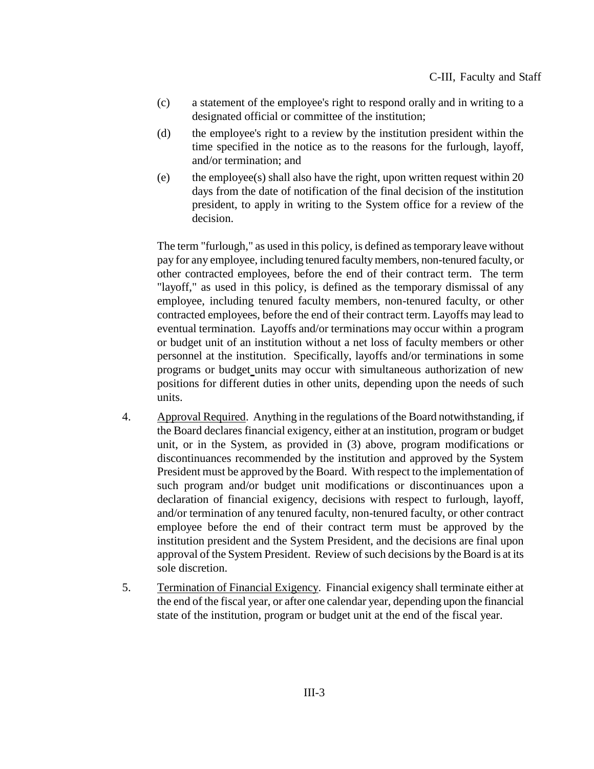- (c) a statement of the employee's right to respond orally and in writing to a designated official or committee of the institution;
- (d) the employee's right to a review by the institution president within the time specified in the notice as to the reasons for the furlough, layoff, and/or termination; and
- (e) the employee(s) shall also have the right, upon written request within 20 days from the date of notification of the final decision of the institution president, to apply in writing to the System office for a review of the decision.

The term "furlough," as used in this policy, is defined as temporary leave without pay for any employee, including tenured faculty members, non-tenured faculty, or other contracted employees, before the end of their contract term. The term "layoff," as used in this policy, is defined as the temporary dismissal of any employee, including tenured faculty members, non-tenured faculty, or other contracted employees, before the end of their contract term. Layoffs may lead to eventual termination. Layoffs and/or terminations may occur within a program or budget unit of an institution without a net loss of faculty members or other personnel at the institution. Specifically, layoffs and/or terminations in some programs or budget units may occur with simultaneous authorization of new positions for different duties in other units, depending upon the needs of such units.

- 4. Approval Required. Anything in the regulations of the Board notwithstanding, if the Board declares financial exigency, either at an institution, program or budget unit, or in the System, as provided in (3) above, program modifications or discontinuances recommended by the institution and approved by the System President must be approved by the Board. With respect to the implementation of such program and/or budget unit modifications or discontinuances upon a declaration of financial exigency, decisions with respect to furlough, layoff, and/or termination of any tenured faculty, non-tenured faculty, or other contract employee before the end of their contract term must be approved by the institution president and the System President, and the decisions are final upon approval of the System President. Review of such decisions by the Board is at its sole discretion.
- 5. Termination of Financial Exigency. Financial exigency shall terminate either at the end of the fiscal year, or after one calendar year, depending upon the financial state of the institution, program or budget unit at the end of the fiscal year.